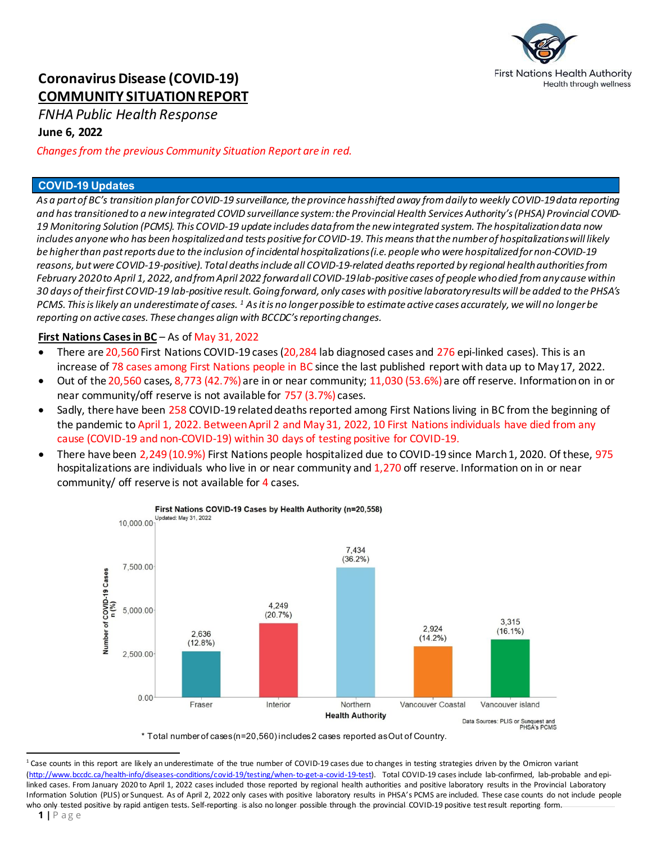

# **Coronavirus Disease (COVID-19) COMMUNITY SITUATION REPORT**

*FNHA Public Health Response*

# **June 6, 2022**

*Changes from the previous Community Situation Report are in red.*

# **COVID-19 Updates**

*As a part of BC's transition plan for COVID-19 surveillance, the province has shifted away from daily to weekly COVID-19 data reporting and has transitionedto a new integrated COVID surveillance system: the Provincial Health Services Authority's (PHSA) Provincial COVID-19 Monitoring Solution (PCMS). This COVID-19 update includes data from the new integrated system. The hospitalization data now*  includes anyone who has been hospitalized and tests positive for COVID-19. This means that the *number of hospitalizations will likely be higher than past reports due to the inclusion of incidental hospitalizations(i.e. people who were hospitalized for non-COVID-19 reasons, but were COVID-19-positive). Total deaths include all COVID-19-related deaths reported by regional health authorities from February 2020 to April 1, 2022, andfrom April 2022 forwardall COVID-19 lab-positive cases of people who died from any causewithin 30 days of their first COVID-19 lab-positive result. Going forward, only cases with positive laboratory results will be added to the PHSA's PCMS. This is likely an underestimate of cases. [1](#page-0-0) As it is no longer possible to estimate active cases accurately, we will no longer be reporting on active cases. These changes align with BCCDC's reporting changes.* 

# **First Nations Cases in BC** – As of May 31, 2022

- There are 20,560 First Nations COVID-19 cases (20,284 lab diagnosed cases and 276 epi-linked cases). This is an increase of 78 cases among First Nations people in BC since the last published report with data up to May 17, 2022.
- Out of the 20,560 cases, 8,773 (42.7%) are in or near community; 11,030 (53.6%) are off reserve. Information on in or near community/off reserve is not available for 757 (3.7%) cases.
- Sadly, there have been 258 COVID-19 related deaths reported among First Nations living in BC from the beginning of the pandemic to April 1, 2022. Between April 2 and May 31, 2022, 10 First Nations individuals have died from any cause (COVID-19 and non-COVID-19) within 30 days of testing positive for COVID-19.
- There have been 2,249 (10.9%) First Nations people hospitalized due to COVID-19 since March 1, 2020. Of these, 975 hospitalizations are individuals who live in or near community and 1,270 off reserve. Information on in or near community/ off reserve is not available for 4 cases.



\* Total number of cases (n=20,560) includes 2 cases reported as Out of Country.

l

<span id="page-0-0"></span><sup>&</sup>lt;sup>1</sup> Case counts in this report are likely an underestimate of the true number of COVID-19 cases due to changes in testing strategies driven by the Omicron variant [\(http://www.bccdc.ca/health-info/diseases-conditions/covid-19/testing/when-to-get-a-covid-19-test\).](http://www.bccdc.ca/health-info/diseases-conditions/covid-19/testing/when-to-get-a-covid-19-test) Total COVID-19 cases include lab-confirmed, lab-probable and epilinked cases. From January 2020 to April 1, 2022 cases included those reported by regional health authorities and positive laboratory results in the Provincial Laboratory Information Solution (PLIS) or Sunquest. As of April 2, 2022 only cases with positive laboratory results in PHSA's PCMS are included. These case counts do not include people who only tested positive by rapid antigen tests. Self-reporting is also no longer possible through the provincial COVID-19 positive test result reporting form.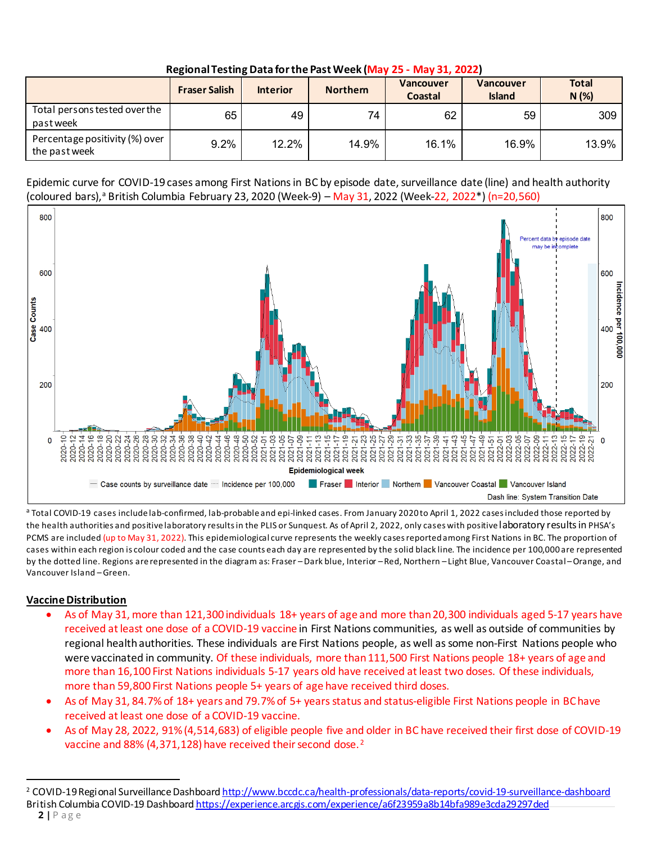| <b>INCRIDITION TOJUME DUTE TOT UTC FUSE VVCCN HVIOY 23 - IVIOY 31, 2022</b> |                      |                 |                 |                             |                                   |                      |
|-----------------------------------------------------------------------------|----------------------|-----------------|-----------------|-----------------------------|-----------------------------------|----------------------|
|                                                                             | <b>Fraser Salish</b> | <b>Interior</b> | <b>Northern</b> | <b>Vancouver</b><br>Coastal | <b>Vancouver</b><br><b>Island</b> | <b>Total</b><br>N(%) |
| Total persons tested over the<br>pastweek                                   | 65                   | 49              | 74              | 62                          | 59                                | 309                  |
| Percentage positivity (%) over<br>the past week                             | 9.2%                 | 12.2%           | 14.9%           | 16.1%                       | 16.9%                             | 13.9%                |

**Regional Testing Data for the Past Week (May 25 - May 31, 2022)**

Epidemic curve for COVID-19 cases among First Nationsin BC by episode date, surveillance date (line) and health authority (coloured bars),<sup>a</sup> British Columbia February 23, 2020 (Week-9) – May 31, 2022 (Week-22, 2022\*) (n=20,560)



<sup>a</sup> Total COVID-19 cases include lab-confirmed, lab-probable and epi-linked cases. From January 2020 to April 1, 2022 cases included those reported by the health authorities and positive laboratory results in the PLIS or Sunquest. As of April 2, 2022, only cases with positive laboratory results in PHSA's PCMS are included (up to May 31, 2022). This epidemiological curve represents the weekly cases reported among First Nations in BC. The proportion of cases within each region is colour coded and the case counts each day are represented by the solid black line. The incidence per 100,000 are represented by the dotted line. Regions are represented in the diagram as: Fraser – Dark blue, Interior – Red, Northern – Light Blue, Vancouver Coastal – Orange, and Vancouver Island – Green.

# **Vaccine Distribution**

- As of May 31, more than 121,300 individuals 18+ years of age and more than 20,300 individuals aged 5-17 years have received at least one dose of a COVID-19 vaccine in First Nations communities, as well as outside of communities by regional health authorities. These individuals are First Nations people, as well as some non-First Nations people who were vaccinated in community. Of these individuals, more than 111,500 First Nations people 18+ years of age and more than 16,100 First Nations individuals 5-17 years old have received at least two doses. Of these individuals, more than 59,800 First Nations people 5+ years of age have received third doses.
- As of May 31, 84.7% of 18+ years and 79.7% of 5+ years status and status-eligible First Nations people in BC have received at least one dose of a COVID-19 vaccine.
- As of May 28, 2022, 91% (4,514,683) of eligible people five and older in BC have received their first dose of COVID-19 vaccine and 88% (4,371,128) have received their second dose. [2](#page-1-0)

 $\overline{a}$ 

<span id="page-1-0"></span><sup>2</sup> COVID-19 Regional Surveillance Dashboard <http://www.bccdc.ca/health-professionals/data-reports/covid-19-surveillance-dashboard> British Columbia COVID-19 Dashboar[d https://experience.arcgis.com/experience/a6f23959a8b14bfa989e3cda29297ded](https://experience.arcgis.com/experience/a6f23959a8b14bfa989e3cda29297ded)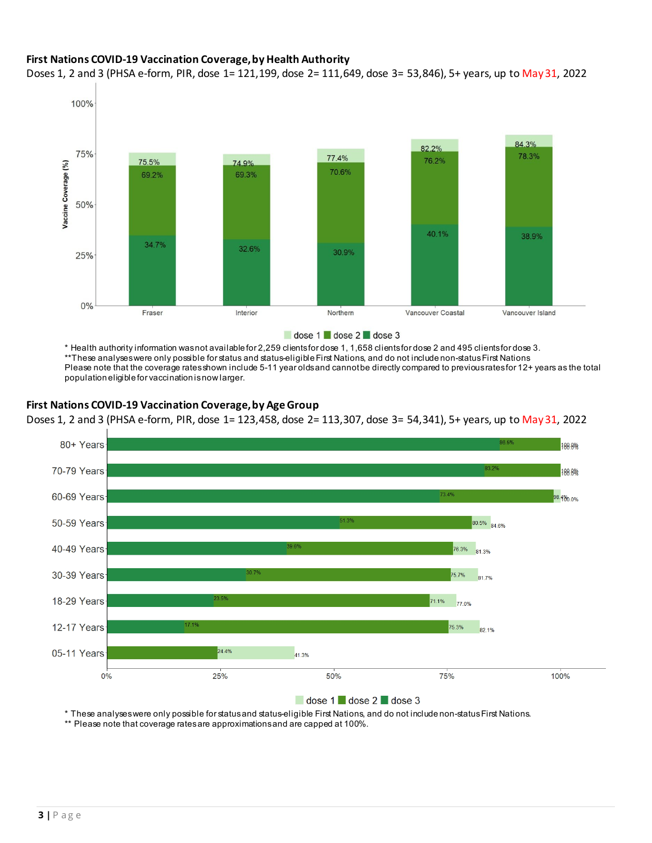# **First Nations COVID-19 Vaccination Coverage, by Health Authority**

Doses 1, 2 and 3 (PHSA e-form, PIR, dose 1= 121,199, dose 2= 111,649, dose 3= 53,846), 5+ years, up to May 31, 2022



dose 1 dose 2 dose 3

\* Health authority information was not available for 2,259 clients for dose 1, 1,658 clients for dose 2 and 495 clients for dose 3. \*\*These analyses were only possible for status and status-eligible First Nations, and do not include non-status First Nations Please note that the coverage rates shown include 5-11 year olds and cannot be directly compared to previous rates for 12+ years as the total population eligible for vaccination is now larger.

### **First Nations COVID-19 Vaccination Coverage, by Age Group**

Doses 1, 2 and 3 (PHSA e-form, PIR, dose 1= 123,458, dose 2= 113,307, dose 3= 54,341), 5+ years, up to May 31, 2022



#### dose 1 dose 2 dose 3

\* These analyses were only possible for status and status-eligible First Nations, and do not include non-status First Nations.

\*\* Please note that coverage rates are approximations and are capped at 100%.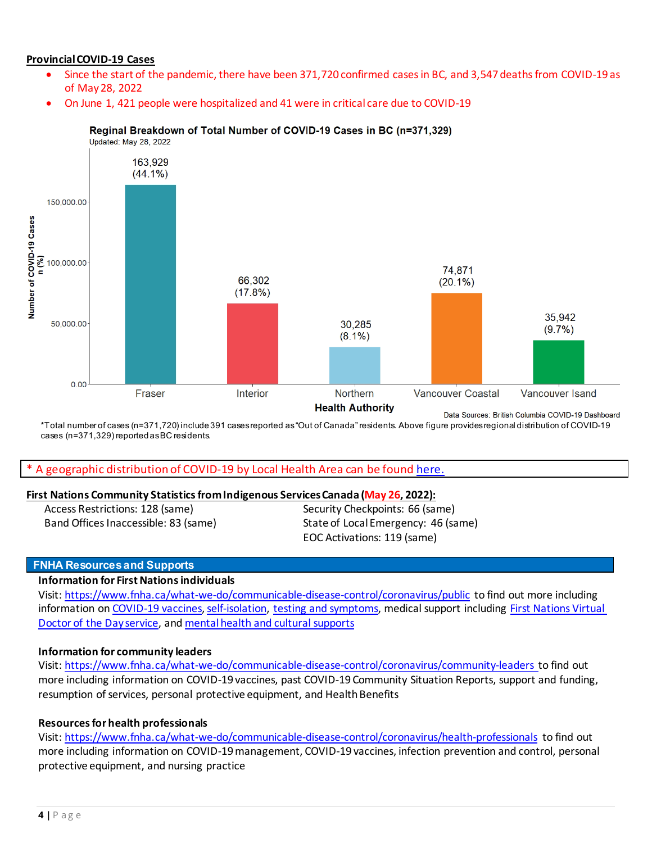# **Provincial COVID-19 Cases**

- Since the start of the pandemic, there have been 371,720 confirmed cases in BC, and 3,547 deaths from COVID-19 as of May 28, 2022
- On June 1, 421 people were hospitalized and 41 were in critical care due to COVID-19



Reginal Breakdown of Total Number of COVID-19 Cases in BC (n=371,329)

\*Total number of cases (n=371,720) include 391 cases reported as "Out of Canada" residents. Above figure provides regional distribution of COVID-19 cases (n=371,329) reported as BC residents.

#### A geographic distribution of COVID-19 by Local Health Area can be found [here.](http://www.bccdc.ca/Health-Info-Site/Documents/COVID-19_LHA_Maps/covid19_lha_20220522_20220528.pdf)

#### **First Nations Community Statistics from Indigenous Services Canada (May 26, 2022):**

Access Restrictions: 128 (same) Band Offices Inaccessible: 83 (same)

Security Checkpoints: 66 (same) State of Local Emergency: 46 (same) EOC Activations: 119 (same)

#### **FNHA Resources and Supports**

#### **Information for First Nations individuals**

Visit[: https://www.fnha.ca/what-we-do/communicable-disease-control/coronavirus/public](https://www.fnha.ca/what-we-do/communicable-disease-control/coronavirus/public) to find out more including information o[n COVID-19 vaccines,](https://www.fnha.ca/what-we-do/communicable-disease-control/coronavirus/covid-19-vaccine) [self-isolation,](https://www.fnha.ca/what-we-do/communicable-disease-control/coronavirus/i-have-covid-19) [testing and symptoms,](https://www.fnha.ca/what-we-do/communicable-disease-control/coronavirus/covid-19-testing) medical support including [First Nations Virtual](https://www.fnha.ca/what-we-do/ehealth/virtual-doctor-of-the-day)  [Doctor of the Day service,](https://www.fnha.ca/what-we-do/ehealth/virtual-doctor-of-the-day) and [mental health and cultural supports](https://www.fnha.ca/what-we-do/mental-wellness-and-substance-use/mental-health-and-wellness-supports) 

#### **[Information for community leaders](https://www.fnha.ca/what-we-do/communicable-disease-control/coronavirus/community-leaders)**

Visit[: https://www.fnha.ca/what-we-do/communicable-disease-control/coronavirus/community-leaders](https://www.fnha.ca/what-we-do/communicable-disease-control/coronavirus/community-leaders) to find out more including information on COVID-19 vaccines, past COVID-19 Community Situation Reports, support and funding, resumption of services, personal protective equipment, and Health Benefits

#### **Resources for health professionals**

Visit[: https://www.fnha.ca/what-we-do/communicable-disease-control/coronavirus/health-professionals](https://www.fnha.ca/what-we-do/communicable-disease-control/coronavirus/health-professionals) to find out more including information on COVID-19 management, COVID-19 vaccines, infection prevention and control, personal protective equipment, and nursing practice